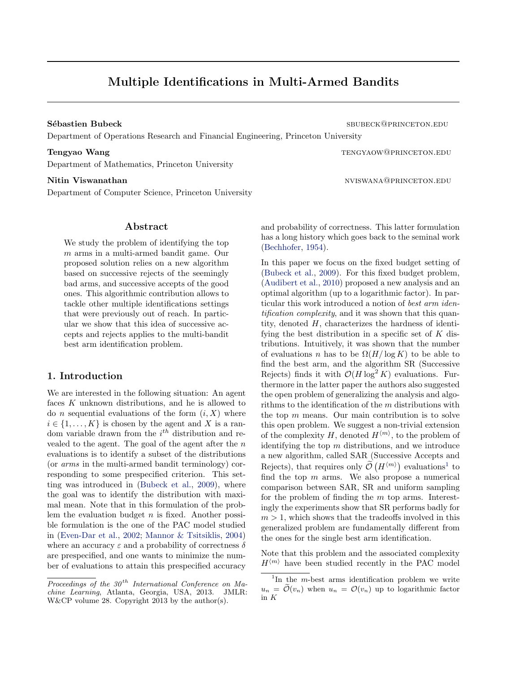# Multiple Identifications in Multi-Armed Bandits

Department of Operations Research and Financial Engineering, Princeton University

Department of Mathematics, Princeton University

Nitin Viswanathan nviswanathan nviswana@princeton.edu

Department of Computer Science, Princeton University

# Abstract

We study the problem of identifying the top m arms in a multi-armed bandit game. Our proposed solution relies on a new algorithm based on successive rejects of the seemingly bad arms, and successive accepts of the good ones. This algorithmic contribution allows to tackle other multiple identifications settings that were previously out of reach. In particular we show that this idea of successive accepts and rejects applies to the multi-bandit best arm identification problem.

# 1. Introduction

We are interested in the following situation: An agent faces K unknown distributions, and he is allowed to do *n* sequential evaluations of the form  $(i, X)$  where  $i \in \{1, \ldots, K\}$  is chosen by the agent and X is a random variable drawn from the  $i^{th}$  distribution and revealed to the agent. The goal of the agent after the  $n$ evaluations is to identify a subset of the distributions (or arms in the multi-armed bandit terminology) corresponding to some prespecified criterion. This setting was introduced in [\(Bubeck et al.,](#page-6-0) [2009\)](#page-6-0), where the goal was to identify the distribution with maximal mean. Note that in this formulation of the problem the evaluation budget  $n$  is fixed. Another possible formulation is the one of the PAC model studied in [\(Even-Dar et al.,](#page-6-0) [2002;](#page-6-0) [Mannor & Tsitsiklis,](#page-6-0) [2004\)](#page-6-0) where an accuracy  $\varepsilon$  and a probability of correctness  $\delta$ are prespecified, and one wants to minimize the number of evaluations to attain this prespecified accuracy and probability of correctness. This latter formulation has a long history which goes back to the seminal work [\(Bechhofer,](#page-6-0) [1954\)](#page-6-0).

In this paper we focus on the fixed budget setting of [\(Bubeck et al.,](#page-6-0) [2009\)](#page-6-0). For this fixed budget problem, [\(Audibert et al.,](#page-6-0) [2010\)](#page-6-0) proposed a new analysis and an optimal algorithm (up to a logarithmic factor). In particular this work introduced a notion of best arm identification complexity, and it was shown that this quantity, denoted  $H$ , characterizes the hardness of identifying the best distribution in a specific set of  $K$  distributions. Intuitively, it was shown that the number of evaluations n has to be  $\Omega(H/\log K)$  to be able to find the best arm, and the algorithm SR (Successive Rejects) finds it with  $\mathcal{O}(H \log^2 K)$  evaluations. Furthermore in the latter paper the authors also suggested the open problem of generalizing the analysis and algorithms to the identification of the m distributions with the top  $m$  means. Our main contribution is to solve this open problem. We suggest a non-trivial extension of the complexity H, denoted  $H^{\langle m \rangle}$ , to the problem of identifying the top  $m$  distributions, and we introduce a new algorithm, called SAR (Successive Accepts and Rejects), that requires only  $\widetilde{\mathcal{O}}(H^{\langle m\rangle})$  evaluations<sup>1</sup> to find the top  $m$  arms. We also propose a numerical comparison between SAR, SR and uniform sampling for the problem of finding the  $m$  top arms. Interestingly the experiments show that SR performs badly for  $m > 1$ , which shows that the tradeoffs involved in this generalized problem are fundamentally different from the ones for the single best arm identification.

Note that this problem and the associated complexity  $H^{\langle m \rangle}$  have been studied recently in the PAC model

Sébastien Bubeck sburger seit auch der Seit auf der Seit seit auf der Seit auf der Seit auf der Seit auf der Seit auf der Seit auf der Seit auf der Seit auf der Seit auf der Seit auf der Seit auf der Seit auf der Seit auf

Tengyao Wang tenggal tenggal tenggal tenggal tenggal tenggal tenggal tenggal tenggal tenggal tenggal tenggal tenggal tenggal tenggal tenggal tenggal tenggal tenggal tenggal tenggal tenggal tenggal tenggal tenggal tenggal t

Proceedings of the  $30<sup>th</sup>$  International Conference on Machine Learning, Atlanta, Georgia, USA, 2013. JMLR: W&CP volume 28. Copyright 2013 by the author(s).

<sup>&</sup>lt;sup>1</sup>In the *m*-best arms identification problem we write  $u_n = \tilde{\mathcal{O}}(v_n)$  when  $u_n = \mathcal{O}(v_n)$  up to logarithmic factor in  $\cal K$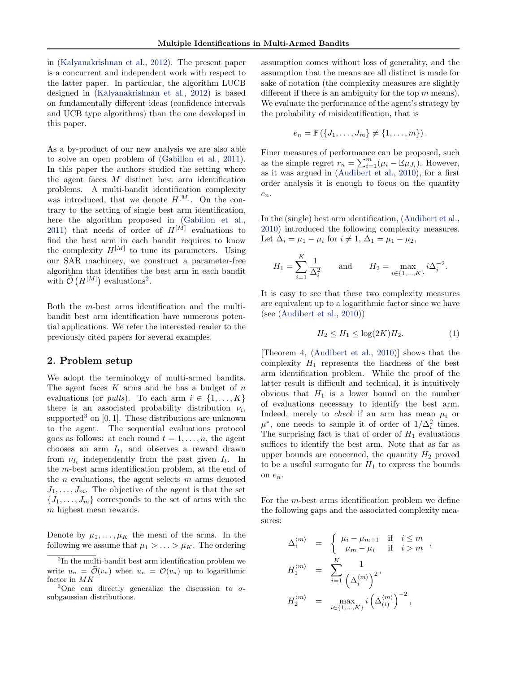<span id="page-1-0"></span>in [\(Kalyanakrishnan et al.,](#page-6-0) [2012\)](#page-6-0). The present paper is a concurrent and independent work with respect to the latter paper. In particular, the algorithm LUCB designed in [\(Kalyanakrishnan et al.,](#page-6-0) [2012\)](#page-6-0) is based on fundamentally different ideas (confidence intervals and UCB type algorithms) than the one developed in this paper.

As a by-product of our new analysis we are also able to solve an open problem of [\(Gabillon et al.,](#page-6-0) [2011\)](#page-6-0). In this paper the authors studied the setting where the agent faces M distinct best arm identification problems. A multi-bandit identification complexity was introduced, that we denote  $H^{[M]}$ . On the contrary to the setting of single best arm identification, here the algorithm proposed in [\(Gabillon et al.,](#page-6-0) [2011\)](#page-6-0) that needs of order of  $H^{[M]}$  evaluations to find the best arm in each bandit requires to know the complexity  $H^{[M]}$  to tune its parameters. Using our SAR machinery, we construct a parameter-free algorithm that identifies the best arm in each bandit with  $\tilde{\mathcal{O}}\left(H^{[M]}\right)$  evaluations<sup>2</sup>.

Both the m-best arms identification and the multibandit best arm identification have numerous potential applications. We refer the interested reader to the previously cited papers for several examples.

### 2. Problem setup

We adopt the terminology of multi-armed bandits. The agent faces  $K$  arms and he has a budget of  $n$ evaluations (or *pulls*). To each arm  $i \in \{1, ..., K\}$ there is an associated probability distribution  $\nu_i$ , supported<sup>3</sup> on  $[0, 1]$ . These distributions are unknown to the agent. The sequential evaluations protocol goes as follows: at each round  $t = 1, \ldots, n$ , the agent chooses an arm  $I_t$ , and observes a reward drawn from  $\nu_{I_t}$  independently from the past given  $I_t$ . In the m-best arms identification problem, at the end of the  $n$  evaluations, the agent selects  $m$  arms denoted  $J_1, \ldots, J_m$ . The objective of the agent is that the set  ${J_1, \ldots, J_m}$  corresponds to the set of arms with the m highest mean rewards.

Denote by  $\mu_1, \ldots, \mu_K$  the mean of the arms. In the following we assume that  $\mu_1 > \ldots > \mu_K$ . The ordering assumption comes without loss of generality, and the assumption that the means are all distinct is made for sake of notation (the complexity measures are slightly different if there is an ambiguity for the top  $m$  means). We evaluate the performance of the agent's strategy by the probability of misidentification, that is

$$
e_n = \mathbb{P}(\lbrace J_1, \ldots, J_m \rbrace \neq \lbrace 1, \ldots, m \rbrace).
$$

Finer measures of performance can be proposed, such as the simple regret  $r_n = \sum_{i=1}^m (\mu_i - \mathbb{E}_{\mu_{J_i}})$ . However, as it was argued in [\(Audibert et al.,](#page-6-0) [2010\)](#page-6-0), for a first order analysis it is enough to focus on the quantity  $e_n$ .

In the (single) best arm identification, [\(Audibert et al.,](#page-6-0) [2010\)](#page-6-0) introduced the following complexity measures. Let  $\Delta_i = \mu_1 - \mu_i$  for  $i \neq 1, \Delta_1 = \mu_1 - \mu_2$ ,

$$
H_1 = \sum_{i=1}^K \frac{1}{\Delta_i^2} \quad \text{and} \quad H_2 = \max_{i \in \{1, ..., K\}} i \Delta_i^{-2}.
$$

It is easy to see that these two complexity measures are equivalent up to a logarithmic factor since we have (see [\(Audibert et al.,](#page-6-0) [2010\)](#page-6-0))

$$
H_2 \le H_1 \le \log(2K)H_2. \tag{1}
$$

[Theorem 4, [\(Audibert et al.,](#page-6-0) [2010\)](#page-6-0)] shows that the complexity  $H_1$  represents the hardness of the best arm identification problem. While the proof of the latter result is difficult and technical, it is intuitively obvious that  $H_1$  is a lower bound on the number of evaluations necessary to identify the best arm. Indeed, merely to *check* if an arm has mean  $\mu_i$  or  $\mu^*$ , one needs to sample it of order of  $1/\Delta_i^2$  times. The surprising fact is that of order of  $H_1$  evaluations suffices to identify the best arm. Note that as far as upper bounds are concerned, the quantity  $H_2$  proved to be a useful surrogate for  $H_1$  to express the bounds on  $e_n$ .

For the  $m$ -best arms identification problem we define the following gaps and the associated complexity measures:

$$
\begin{array}{rcl} \Delta_i^{\langle m \rangle} &=& \left\{ \begin{array}{rcl} \mu_i - \mu_{m+1} & \mbox{if} & i \leq m \\ \mu_m - \mu_i & \mbox{if} & i > m \end{array} \right. , \\[5mm] H_1^{\langle m \rangle} &=& \sum_{i=1}^K \frac{1}{\left( \Delta_i^{\langle m \rangle} \right)^2} , \\[5mm] H_2^{\langle m \rangle} &=& \max_{i \in \{1, \ldots, K\}} i \left( \Delta_{(i)}^{\langle m \rangle} \right)^{-2} , \end{array}
$$

<sup>&</sup>lt;sup>2</sup>In the multi-bandit best arm identification problem we write  $u_n = \tilde{\mathcal{O}}(v_n)$  when  $u_n = \mathcal{O}(v_n)$  up to logarithmic factor in MK

<sup>&</sup>lt;sup>3</sup>One can directly generalize the discussion to  $\sigma$ subgaussian distributions.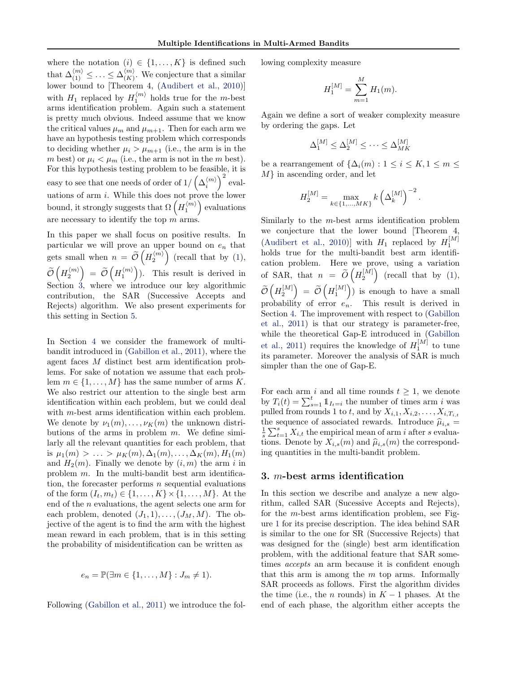where the notation  $(i) \in \{1, \ldots, K\}$  is defined such that  $\Delta_{(1)}^{\langle m \rangle} \leq \ldots \leq \Delta_{(K)}^{\langle m \rangle}$  $\binom{m}{(K)}$ . We conjecture that a similar lower bound to [Theorem 4, [\(Audibert et al.,](#page-6-0) [2010\)](#page-6-0)] with  $H_1$  replaced by  $H_1^{\langle m \rangle}$  holds true for the m-best arms identification problem. Again such a statement is pretty much obvious. Indeed assume that we know the critical values  $\mu_m$  and  $\mu_{m+1}$ . Then for each arm we have an hypothesis testing problem which corresponds to deciding whether  $\mu_i > \mu_{m+1}$  (i.e., the arm is in the m best) or  $\mu_i < \mu_m$  (i.e., the arm is not in the m best). For this hypothesis testing problem to be feasible, it is easy to see that one needs of order of  $1/\left(\Delta_i^{(m)}\right)^2$  evaluations of arm i. While this does not prove the lower bound, it strongly suggests that  $\Omega\left(H_1^{\langle m \rangle}\right)$  evaluations are necessary to identify the top  $\vec{m}$  arms.

In this paper we shall focus on positive results. In particular we will prove an upper bound on  $e_n$  that gets small when  $n = \tilde{\mathcal{O}}\left(H_2^{(m)}\right)$  (recall that by [\(1\)](#page-1-0),  $\widetilde{\mathcal{O}}\left(H_2^{\langle m \rangle}\right) \,=\, \widetilde{\mathcal{O}}\left(H_1^{\langle m \rangle}\right)$ ). This result is derived in Section  $\acute{3}$ , where we introduce our key algorithmic contribution, the SAR (Successive Accepts and Rejects) algorithm. We also present experiments for this setting in Section [5.](#page-5-0)

In Section [4](#page-4-0) we consider the framework of multibandit introduced in [\(Gabillon et al.,](#page-6-0) [2011\)](#page-6-0), where the agent faces M distinct best arm identification problems. For sake of notation we assume that each problem  $m \in \{1, \ldots, M\}$  has the same number of arms K. We also restrict our attention to the single best arm identification within each problem, but we could deal with *m*-best arms identification within each problem. We denote by  $\nu_1(m), \ldots, \nu_K(m)$  the unknown distributions of the arms in problem  $m$ . We define similarly all the relevant quantities for each problem, that is  $\mu_1(m) > ... > \mu_K(m), \Delta_1(m), ..., \Delta_K(m), H_1(m)$ and  $H_2(m)$ . Finally we denote by  $(i, m)$  the arm i in problem m. In the multi-bandit best arm identification, the forecaster performs  $n$  sequential evaluations of the form  $(I_t, m_t) \in \{1, \ldots, K\} \times \{1, \ldots, M\}$ . At the end of the n evaluations, the agent selects one arm for each problem, denoted  $(J_1, 1), \ldots, (J_M, M)$ . The objective of the agent is to find the arm with the highest mean reward in each problem, that is in this setting the probability of misidentification can be written as

$$
e_n = \mathbb{P}(\exists m \in \{1, \dots, M\} : J_m \neq 1).
$$

Following [\(Gabillon et al.,](#page-6-0) [2011\)](#page-6-0) we introduce the fol-

lowing complexity measure

$$
H_1^{[M]} = \sum_{m=1}^{M} H_1(m).
$$

Again we define a sort of weaker complexity measure by ordering the gaps. Let

$$
\Delta_1^{[M]} \le \Delta_2^{[M]} \le \cdots \le \Delta_{MK}^{[M]}
$$

be a rearrangement of  $\{\Delta_i(m): 1 \leq i \leq K, 1 \leq m \leq$ M} in ascending order, and let

$$
H_2^{[M]}=\max_{k\in\{1,\ldots,MK\}}k\left(\Delta_k^{[M]}\right)^{-2}.
$$

Similarly to the m-best arms identification problem we conjecture that the lower bound [Theorem 4, [\(Audibert et al.,](#page-6-0) [2010\)](#page-6-0)] with  $H_1$  replaced by  $H_1^{[M]}$ holds true for the multi-bandit best arm identification problem. Here we prove, using a variation of SAR, that  $n = \widetilde{O}\left(H_2^{[M]}\right)$  (recall that by [\(1\)](#page-1-0),  $\widetilde{\mathcal{O}}\left(H_2^{[M]}\right) \ = \ \widetilde{\mathcal{O}}\left(H_1^{[M]}\right)$ ) is enough to have a small probability of error  $e_n$ . This result is derived in Section [4.](#page-4-0) The improvement with respect to [\(Gabillon](#page-6-0) [et al.,](#page-6-0) [2011\)](#page-6-0) is that our strategy is parameter-free, while the theoretical Gap-E introduced in [\(Gabillon](#page-6-0) [et al.,](#page-6-0) [2011\)](#page-6-0) requires the knowledge of  $H_1^{[M]}$  to tune its parameter. Moreover the analysis of SAR is much simpler than the one of Gap-E.

For each arm i and all time rounds  $t \geq 1$ , we denote by  $T_i(t) = \sum_{s=1}^t \mathbb{1}_{I_t=i}$  the number of times arm i was pulled from rounds 1 to t, and by  $X_{i,1}, X_{i,2}, \ldots, X_{i,T_{i,t}}$ the sequence of associated rewards. Introduce  $\hat{\mu}_{i,s} =$  $\frac{1}{s}\sum_{t=1}^{s} X_{i,t}$  the empirical mean of arm i after s evaluations. Denote by  $X_{i,s}(m)$  and  $\widehat{\mu}_{i,s}(m)$  the corresponding quantities in the multi-bandit problem.

## 3. m-best arms identification

In this section we describe and analyze a new algorithm, called SAR (Sucessive Accepts and Rejects), for the m-best arms identification problem, see Figure [1](#page-3-0) for its precise description. The idea behind SAR is similar to the one for SR (Successive Rejects) that was designed for the (single) best arm identification problem, with the additional feature that SAR sometimes accepts an arm because it is confident enough that this arm is among the  $m$  top arms. Informally SAR proceeds as follows. First the algorithm divides the time (i.e., the *n* rounds) in  $K - 1$  phases. At the end of each phase, the algorithm either accepts the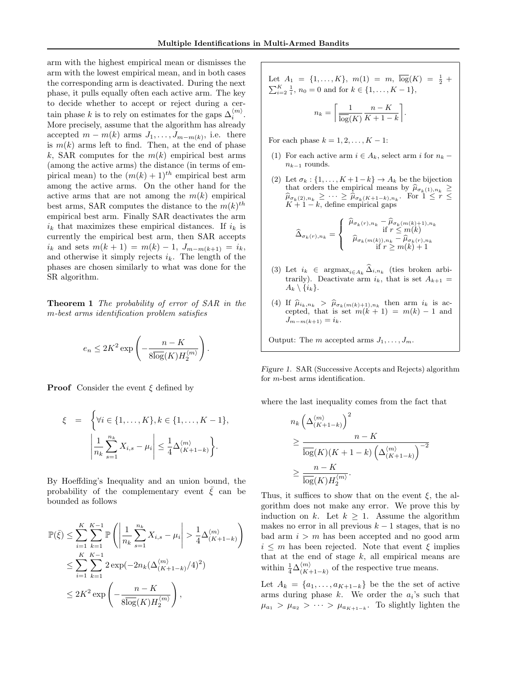<span id="page-3-0"></span>arm with the highest empirical mean or dismisses the arm with the lowest empirical mean, and in both cases the corresponding arm is deactivated. During the next phase, it pulls equally often each active arm. The key to decide whether to accept or reject during a certain phase k is to rely on estimates for the gaps  $\Delta_i^{(m)}$ . More precisely, assume that the algorithm has already accepted  $m - m(k)$  arms  $J_1, \ldots, J_{m-m(k)}$ , i.e. there is  $m(k)$  arms left to find. Then, at the end of phase k, SAR computes for the  $m(k)$  empirical best arms (among the active arms) the distance (in terms of empirical mean) to the  $(m(k) + 1)^{th}$  empirical best arm among the active arms. On the other hand for the active arms that are not among the  $m(k)$  empirical best arms, SAR computes the distance to the  $m(k)$ <sup>th</sup> empirical best arm. Finally SAR deactivates the arm  $i_k$  that maximizes these empirical distances. If  $i_k$  is currently the empirical best arm, then SAR accepts  $i_k$  and sets  $m(k + 1) = m(k) - 1$ ,  $J_{m-m(k+1)} = i_k$ , and otherwise it simply rejects  $i_k$ . The length of the phases are chosen similarly to what was done for the SR algorithm.

Theorem 1 The probability of error of SAR in the m-best arms identification problem satisfies

$$
e_n \le 2K^2 \exp\left(-\frac{n-K}{8\overline{\log}(K)H_2^{\langle m\rangle}}\right).
$$

**Proof** Consider the event  $\xi$  defined by

$$
\xi = \left\{ \forall i \in \{1, ..., K\}, k \in \{1, ..., K - 1\}, \left| \frac{1}{n_k} \sum_{s=1}^{n_k} X_{i,s} - \mu_i \right| \leq \frac{1}{4} \Delta_{(K+1-k)}^{(m)} \right\}.
$$

By Hoeffding's Inequality and an union bound, the probability of the complementary event  $\bar{\xi}$  can be bounded as follows

$$
\mathbb{P}(\bar{\xi}) \le \sum_{i=1}^{K} \sum_{k=1}^{K-1} \mathbb{P}\left(\left|\frac{1}{n_k} \sum_{s=1}^{n_k} X_{i,s} - \mu_i\right| > \frac{1}{4} \Delta_{(K+1-k)}^{(m)}\right)
$$
  

$$
\le \sum_{i=1}^{K} \sum_{k=1}^{K-1} 2 \exp(-2n_k(\Delta_{(K+1-k)}^{(m)}/4)^2)
$$
  

$$
\le 2K^2 \exp\left(-\frac{n-K}{8\overline{\log}(K)H_2^{(m)}}\right),
$$

Let 
$$
A_1 = \{1, ..., K\}
$$
,  $m(1) = m$ ,  $\overline{\log}(K) = \frac{1}{2} + \sum_{i=2}^{K} \frac{1}{i}$ ,  $n_0 = 0$  and for  $k \in \{1, ..., K - 1\}$ ,  

$$
n_k = \left[\frac{1}{\overline{\log}(K)} \frac{n - K}{K + 1 - k}\right].
$$

For each phase  $k = 1, 2, \ldots, K - 1$ :

- (1) For each active arm  $i \in A_k$ , select arm i for  $n_k$   $n_{k-1}$  rounds.
- (2) Let  $\sigma_k : \{1, \ldots, K+1-k\} \to A_k$  be the bijection that orders the empirical means by  $\hat{\mu}_{\sigma_k}(1), n_k \geq \hat{\mu}$  $\widehat{\mu}_{\sigma_k(2),n_k} \geq \cdots \geq \widehat{\mu}_{\sigma_k(K+1-k),n_k}$ . For  $1 \leq r \leq K+1-k$  define empirical gaps  $K + 1 - k$ , define empirical gaps

$$
\widehat{\Delta}_{\sigma_k(r),n_k} = \left\{ \begin{array}{c} \widehat{\mu}_{\sigma_k(r),n_k} - \widehat{\mu}_{\sigma_k(m(k)+1),n_k} \\ \text{if } r \leq m(k) \\ \widehat{\mu}_{\sigma_k(m(k)),n_k} - \widehat{\mu}_{\sigma_k(r),n_k} \\ \text{if } r \geq m(k)+1 \end{array} \right.
$$

- (3) Let  $i_k \in \text{argmax}_{i \in A_k} \Delta_{i,n_k}$  (ties broken arbitrarily). Deactivate arm  $i_k$ , that is set  $A_{k+1}$  =  $A_k \setminus \{i_k\}.$
- (4) If  $\hat{\mu}_{i_k,n_k} > \hat{\mu}_{\sigma_k(m(k)+1),n_k}$  then arm  $i_k$  is accorded that is set  $m(k+1) = m(k) 1$  and cepted, that is set  $m(k + 1) = m(k) - 1$  and  $J_{m-m(k+1)} = i_k.$

Output: The m accepted arms  $J_1, \ldots, J_m$ .

Figure 1. SAR (Successive Accepts and Rejects) algorithm for m-best arms identification.

where the last inequality comes from the fact that

$$
n_k \left(\Delta_{(K+1-k)}^{(m)}\right)^2
$$
  
\n
$$
\geq \frac{n-K}{\log(K)(K+1-k) \left(\Delta_{(K+1-k)}^{(m)}\right)^{-2}}
$$
  
\n
$$
\geq \frac{n-K}{\log(K)H_2^{(m)}}.
$$

Thus, it suffices to show that on the event  $\xi$ , the algorithm does not make any error. We prove this by induction on k. Let  $k \geq 1$ . Assume the algorithm makes no error in all previous  $k - 1$  stages, that is no bad arm  $i > m$  has been accepted and no good arm  $i \leq m$  has been rejected. Note that event  $\xi$  implies that at the end of stage  $k$ , all empirical means are within  $\frac{1}{4}\Delta_{(K+)}^{\langle m \rangle}$  $\binom{m}{K+1-k}$  of the respective true means.

Let  $A_k = \{a_1, \ldots, a_{K+1-k}\}\)$  be the set of active arms during phase  $k$ . We order the  $a_i$ 's such that  $\mu_{a_1} > \mu_{a_2} > \cdots > \mu_{a_{K+1-k}}$ . To slightly lighten the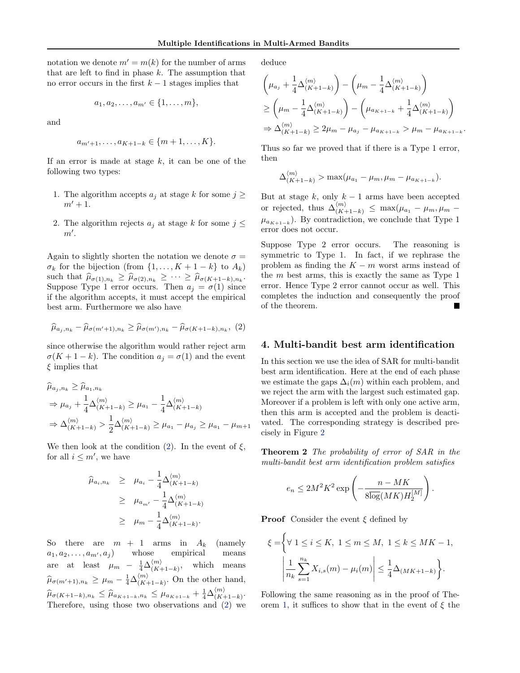<span id="page-4-0"></span>notation we denote  $m' = m(k)$  for the number of arms that are left to find in phase  $k$ . The assumption that no error occurs in the first  $k - 1$  stages implies that

$$
a_1, a_2, \ldots, a_{m'} \in \{1, \ldots, m\},\
$$

and

$$
a_{m'+1},...,a_{K+1-k} \in \{m+1,...,K\}.
$$

If an error is made at stage  $k$ , it can be one of the following two types:

- 1. The algorithm accepts  $a_i$  at stage k for some  $j \geq$  $m' + 1$ .
- 2. The algorithm rejects  $a_i$  at stage k for some  $j \leq$  $m'.$

Again to slightly shorten the notation we denote  $\sigma =$  $\sigma_k$  for the bijection (from  $\{1, \ldots, K+1-k\}$  to  $A_k$ ) such that  $\widehat{\mu}_{\sigma(1),n_k} \geq \widehat{\mu}_{\sigma(2),n_k} \geq \cdots \geq \widehat{\mu}_{\sigma(K+1-k),n_k}$ .<br>Suppose Time 1 error equity Then  $a_i = \sigma(1)$  einer Suppose Type 1 error occurs. Then  $a_j = \sigma(1)$  since if the algorithm accepts, it must accept the empirical best arm. Furthermore we also have

$$
\widehat{\mu}_{a_j,n_k} - \widehat{\mu}_{\sigma(m'+1),n_k} \ge \widehat{\mu}_{\sigma(m'),n_k} - \widehat{\mu}_{\sigma(K+1-k),n_k},\tag{2}
$$

since otherwise the algorithm would rather reject arm  $\sigma(K+1-k)$ . The condition  $a_i = \sigma(1)$  and the event  $\xi$  implies that

$$
\hat{\mu}_{a_j, n_k} \ge \hat{\mu}_{a_1, n_k}
$$
\n
$$
\Rightarrow \mu_{a_j} + \frac{1}{4} \Delta_{(K+1-k)}^{(m)} \ge \mu_{a_1} - \frac{1}{4} \Delta_{(K+1-k)}^{(m)}
$$
\n
$$
\Rightarrow \Delta_{(K+1-k)}^{(m)} > \frac{1}{2} \Delta_{(K+1-k)}^{(m)} \ge \mu_{a_1} - \mu_{a_j} \ge \mu_{a_1} - \mu_{m+1}
$$

We then look at the condition (2). In the event of  $\xi$ , for all  $i \leq m'$ , we have

$$
\hat{\mu}_{a_i, n_k} \geq \mu_{a_i} - \frac{1}{4} \Delta_{(K+1-k)}^{(m)}
$$
\n
$$
\geq \mu_{a_{m'}} - \frac{1}{4} \Delta_{(K+1-k)}^{(m)}
$$
\n
$$
\geq \mu_m - \frac{1}{4} \Delta_{(K+1-k)}^{(m)}.
$$

So there are  $m + 1$  arms in  $A_k$  (namely  $a_1, a_2, \ldots, a_{m'}, a_j$  whose empirical means are at least  $\mu_m - \frac{1}{4} \Delta_{(K+1)}^{\langle m \rangle}$  $\binom{m}{(K+1-k)}$ , which means  $\widehat{\mu}_{\sigma(m'+1),n_k} \geq \mu_m - \frac{1}{4} \Delta_{(K+1)}^{\langle m \rangle}$  $\binom{m}{(K+1-k)}$ . On the other hand,  $\widehat{\mu}_{\sigma(K+1-k),n_k} \leq \widehat{\mu}_{a_{K+1-k},n_k} \leq \mu_{a_{K+1-k}} + \frac{1}{4} \Delta_{(K+1-k)}^{(m)}$  $\binom{m}{K+1-k}$ . Therefore, using those two observations and (2) we deduce

$$
\left(\mu_{a_j} + \frac{1}{4} \Delta_{(K+1-k)}^{(m)}\right) - \left(\mu_m - \frac{1}{4} \Delta_{(K+1-k)}^{(m)}\right)
$$
\n
$$
\geq \left(\mu_m - \frac{1}{4} \Delta_{(K+1-k)}^{(m)}\right) - \left(\mu_{a_{K+1-k}} + \frac{1}{4} \Delta_{(K+1-k)}^{(m)}\right)
$$
\n
$$
\Rightarrow \Delta_{(K+1-k)}^{(m)} \geq 2\mu_m - \mu_{a_j} - \mu_{a_{K+1-k}} > \mu_m - \mu_{a_{K+1-k}}.
$$

Thus so far we proved that if there is a Type 1 error, then

$$
\Delta_{(K+1-k)}^{\langle m \rangle} > \max(\mu_{a_1} - \mu_m, \mu_m - \mu_{a_{K+1-k}}).
$$

But at stage k, only  $k - 1$  arms have been accepted or rejected, thus  $\Delta_{(K+1-k)}^{(m)} \leq \max(\mu_{a_1} - \mu_m, \mu_m \mu_{a_{K+1-k}}$ ). By contradiction, we conclude that Type 1 error does not occur.

Suppose Type 2 error occurs. The reasoning is symmetric to Type 1. In fact, if we rephrase the problem as finding the  $K - m$  worst arms instead of the  $m$  best arms, this is exactly the same as Type 1 error. Hence Type 2 error cannot occur as well. This completes the induction and consequently the proof of the theorem.

# 4. Multi-bandit best arm identification

In this section we use the idea of SAR for multi-bandit best arm identification. Here at the end of each phase we estimate the gaps  $\Delta_i(m)$  within each problem, and we reject the arm with the largest such estimated gap. Moreover if a problem is left with only one active arm, then this arm is accepted and the problem is deactivated. The corresponding strategy is described precisely in Figure [2](#page-5-0)

Theorem 2 The probability of error of SAR in the multi-bandit best arm identification problem satisfies

$$
e_n \le 2M^2 K^2 \exp\left(-\frac{n - MK}{8\overline{\log}(MK)H_2^{[M]}}\right)
$$

.

**Proof** Consider the event  $\xi$  defined by

$$
\xi = \left\{ \forall \ 1 \le i \le K, \ 1 \le m \le M, \ 1 \le k \le MK - 1, \ \left| \frac{1}{n_k} \sum_{s=1}^{n_k} X_{i,s}(m) - \mu_i(m) \right| \le \frac{1}{4} \Delta_{(MK+1-k)} \right\}.
$$

Following the same reasoning as in the proof of The-orem [1,](#page-3-0) it suffices to show that in the event of  $\xi$  the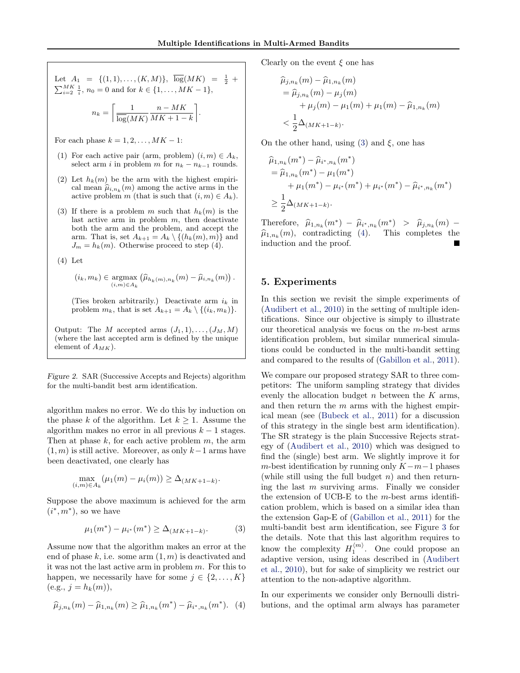<span id="page-5-0"></span>Let 
$$
A_1 = \{(1, 1), ..., (K, M)\}, \overline{\log}(MK) = \frac{1}{2} + \sum_{i=2}^{MK} \frac{1}{i}, n_0 = 0
$$
 and for  $k \in \{1, ..., MK - 1\},$   

$$
n_k = \left\lceil \frac{1}{\overline{\log}(MK)} \frac{n - MK}{MK + 1 - k} \right\rceil.
$$

For each phase  $k = 1, 2, \ldots, MK - 1$ :

- (1) For each active pair (arm, problem)  $(i, m) \in A_k$ , select arm *i* in problem m for  $n_k - n_{k-1}$  rounds.
- (2) Let  $h_k(m)$  be the arm with the highest empirical mean  $\hat{\mu}_{i,n_k}(m)$  among the active arms in the active problem m (that is such that  $(i, m) \in A_i$ ) active problem m (that is such that  $(i, m) \in A_k$ ).
- (3) If there is a problem m such that  $h_k(m)$  is the last active arm in problem  $m$ , then deactivate both the arm and the problem, and accept the arm. That is, set  $A_{k+1} = A_k \setminus \{(h_k(m), m)\}\$ and  $J_m = h_k(m)$ . Otherwise proceed to step (4).

(4) Let

$$
(i_k, m_k) \in \underset{(i,m)\in A_k}{\operatorname{argmax}} \left(\widehat{\mu}_{h_k(m),n_k}(m) - \widehat{\mu}_{i,n_k}(m)\right).
$$

(Ties broken arbitrarily.) Deactivate arm  $i_k$  in problem  $m_k$ , that is set  $A_{k+1} = A_k \setminus \{(i_k, m_k)\}.$ 

Output: The M accepted arms  $(J_1, 1), \ldots, (J_M, M)$ (where the last accepted arm is defined by the unique element of  $A_{MK}$ ).

Figure 2. SAR (Successive Accepts and Rejects) algorithm for the multi-bandit best arm identification.

algorithm makes no error. We do this by induction on the phase k of the algorithm. Let  $k \geq 1$ . Assume the algorithm makes no error in all previous  $k - 1$  stages. Then at phase  $k$ , for each active problem  $m$ , the arm  $(1, m)$  is still active. Moreover, as only  $k-1$  arms have been deactivated, one clearly has

$$
\max_{(i,m)\in A_k} (\mu_1(m) - \mu_i(m)) \geq \Delta_{(MK+1-k)}.
$$

Suppose the above maximum is achieved for the arm  $(i^*, m^*)$ , so we have

$$
\mu_1(m^*) - \mu_{i^*}(m^*) \ge \Delta_{(MK+1-k)}.\tag{3}
$$

Assume now that the algorithm makes an error at the end of phase  $k$ , i.e. some arm  $(1, m)$  is deactivated and it was not the last active arm in problem m. For this to happen, we necessarily have for some  $j \in \{2, ..., K\}$  $(e.g., j = h_k(m)),$ 

$$
\widehat{\mu}_{j,n_k}(m) - \widehat{\mu}_{1,n_k}(m) \ge \widehat{\mu}_{1,n_k}(m^*) - \widehat{\mu}_{i^*,n_k}(m^*). \tag{4}
$$

Clearly on the event  $\xi$  one has

$$
\hat{\mu}_{j,n_k}(m) - \hat{\mu}_{1,n_k}(m) \n= \hat{\mu}_{j,n_k}(m) - \mu_j(m) \n+ \mu_j(m) - \mu_1(m) + \mu_1(m) - \hat{\mu}_{1,n_k}(m) \n< \frac{1}{2} \Delta_{(MK+1-k)}.
$$

On the other hand, using (3) and  $\xi$ , one has

$$
\hat{\mu}_{1,n_k}(m^*) - \hat{\mu}_{i^*,n_k}(m^*)
$$
\n
$$
= \hat{\mu}_{1,n_k}(m^*) - \mu_1(m^*)
$$
\n
$$
+ \mu_1(m^*) - \mu_{i^*}(m^*) + \mu_{i^*}(m^*) - \hat{\mu}_{i^*,n_k}(m^*)
$$
\n
$$
\geq \frac{1}{2} \Delta_{(MK+1-k)}.
$$

Therefore,  $\hat{\mu}_{1,n_k}(m^*) - \hat{\mu}_{i^*,n_k}(m^*) > \hat{\mu}_{j,n_k}(m) -$ <br> $\hat{\mu}_{i}(m)$  contradicting (A) This completes the  $\hat{\mu}_{1,n_k}(m)$ , contradicting (4). This completes the induction and the proof. induction and the proof.

# 5. Experiments

In this section we revisit the simple experiments of [\(Audibert et al.,](#page-6-0) [2010\)](#page-6-0) in the setting of multiple identifications. Since our objective is simply to illustrate our theoretical analysis we focus on the m-best arms identification problem, but similar numerical simulations could be conducted in the multi-bandit setting and compared to the results of [\(Gabillon et al.,](#page-6-0) [2011\)](#page-6-0).

We compare our proposed strategy SAR to three competitors: The uniform sampling strategy that divides evenly the allocation budget  $n$  between the  $K$  arms, and then return the  $m$  arms with the highest empirical mean (see [\(Bubeck et al.,](#page-6-0) [2011\)](#page-6-0) for a discussion of this strategy in the single best arm identification). The SR strategy is the plain Successive Rejects strategy of [\(Audibert et al.,](#page-6-0) [2010\)](#page-6-0) which was designed to find the (single) best arm. We slightly improve it for m-best identification by running only  $K-m-1$  phases (while still using the full budget  $n$ ) and then returning the last  $m$  surviving arms. Finally we consider the extension of UCB-E to the  $m$ -best arms identification problem, which is based on a similar idea than the extension Gap-E of [\(Gabillon et al.,](#page-6-0) [2011\)](#page-6-0) for the multi-bandit best arm identification, see Figure [3](#page-6-0) for the details. Note that this last algorithm requires to know the complexity  $H_1^{\langle m \rangle}$ . One could propose an adaptive version, using ideas described in [\(Audibert](#page-6-0) [et al.,](#page-6-0) [2010\)](#page-6-0), but for sake of simplicity we restrict our attention to the non-adaptive algorithm.

In our experiments we consider only Bernoulli distributions, and the optimal arm always has parameter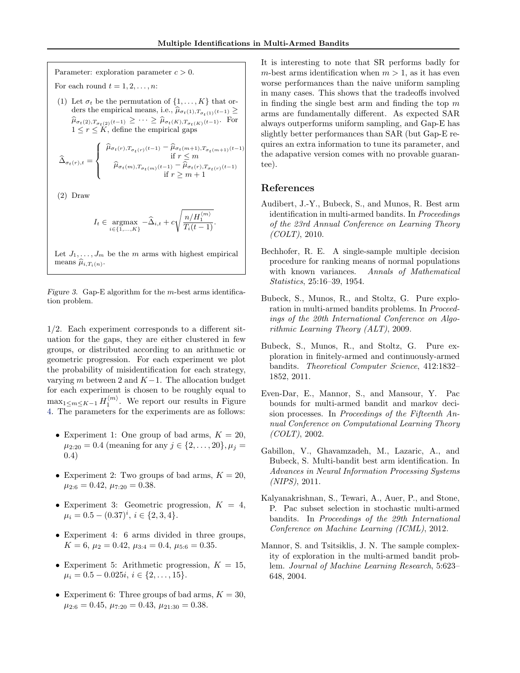<span id="page-6-0"></span>Parameter: exploration parameter  $c > 0$ . For each round  $t = 1, 2, \ldots, n$ :

(1) Let  $\sigma_t$  be the permutation of  $\{1, \ldots, K\}$  that orders the empirical means, i.e.,  $\widehat{\mu}_{\sigma_t(1),T_{\sigma_t(1)}(t-1)} \geq$  $\hat{\mu}_{\sigma_t(2),T_{\sigma_t(2)}(t-1)} \geq \cdots \geq \hat{\mu}_{\sigma_t(K),T_{\sigma_t(K)}(t-1)}.$  For  $1 \leq r \leq K$ , define the empirical gaps

$$
\label{eq:delta} \widehat{\Delta}_{\sigma_t(r),t} = \left\{ \begin{array}{c} \widehat{\mu}_{\sigma_t(r),T_{\sigma_t(r)}(t-1)} - \widehat{\mu}_{\sigma_t(m+1),T_{\sigma_t(m+1)}(t-1)} \\ \quad \text{if } r \leq m \\ \qquad \widehat{\mu}_{\sigma_t(m),T_{\sigma_t(m)}(t-1)} - \widehat{\mu}_{\sigma_t(r),T_{\sigma_t(r)}(t-1)} \\qquad \text{if } r \geq m+1 \end{array} \right.
$$

(2) Draw

$$
I_t \in \underset{i \in \{1, \ldots, K\}}{\operatorname{argmax}} -\widehat{\Delta}_{i,t} + c \sqrt{\frac{n/H_1^{(m)}}{T_i(t-1)}}.
$$

Let  $J_1, \ldots, J_m$  be the m arms with highest empirical means  $\hat{\mu}_{i,T_i(n)}$ .

Figure 3. Gap-E algorithm for the  $m$ -best arms identification problem.

1/2. Each experiment corresponds to a different situation for the gaps, they are either clustered in few groups, or distributed according to an arithmetic or geometric progression. For each experiment we plot the probability of misidentification for each strategy, varying m between 2 and  $K-1$ . The allocation budget for each experiment is chosen to be roughly equal to  $\max_{1 \leq m \leq K-1} H_1^{(m)}$ . We report our results in Figure [4.](#page-7-0) The parameters for the experiments are as follows:

- Experiment 1: One group of bad arms,  $K = 20$ ,  $\mu_{2:20} = 0.4$  (meaning for any  $j \in \{2, \ldots, 20\}, \mu_j =$ 0.4)
- Experiment 2: Two groups of bad arms,  $K = 20$ ,  $\mu_{2:6} = 0.42, \mu_{7:20} = 0.38.$
- Experiment 3: Geometric progression,  $K = 4$ ,  $\mu_i = 0.5 - (0.37)^i, i \in \{2, 3, 4\}.$
- Experiment 4: 6 arms divided in three groups,  $K = 6, \mu_2 = 0.42, \mu_{3:4} = 0.4, \mu_{5:6} = 0.35.$
- Experiment 5: Arithmetic progression,  $K = 15$ ,  $\mu_i = 0.5 - 0.025i, i \in \{2, \ldots, 15\}.$
- Experiment 6: Three groups of bad arms,  $K = 30$ ,  $\mu_{2:6} = 0.45, \mu_{7:20} = 0.43, \mu_{21:30} = 0.38.$

It is interesting to note that SR performs badly for m-best arms identification when  $m > 1$ , as it has even worse performances than the naive uniform sampling in many cases. This shows that the tradeoffs involved in finding the single best arm and finding the top  $m$ arms are fundamentally different. As expected SAR always outperforms uniform sampling, and Gap-E has slightly better performances than SAR (but Gap-E requires an extra information to tune its parameter, and the adapative version comes with no provable guarantee).

# References

- Audibert, J.-Y., Bubeck, S., and Munos, R. Best arm identification in multi-armed bandits. In Proceedings of the 23rd Annual Conference on Learning Theory  $(COLT)$ , 2010.
- Bechhofer, R. E. A single-sample multiple decision procedure for ranking means of normal populations with known variances. Annals of Mathematical Statistics, 25:16–39, 1954.
- Bubeck, S., Munos, R., and Stoltz, G. Pure exploration in multi-armed bandits problems. In Proceedings of the 20th International Conference on Algorithmic Learning Theory (ALT), 2009.
- Bubeck, S., Munos, R., and Stoltz, G. Pure exploration in finitely-armed and continuously-armed bandits. Theoretical Computer Science, 412:1832– 1852, 2011.
- Even-Dar, E., Mannor, S., and Mansour, Y. Pac bounds for multi-armed bandit and markov decision processes. In Proceedings of the Fifteenth Annual Conference on Computational Learning Theory (COLT), 2002.
- Gabillon, V., Ghavamzadeh, M., Lazaric, A., and Bubeck, S. Multi-bandit best arm identification. In Advances in Neural Information Processing Systems (NIPS), 2011.
- Kalyanakrishnan, S., Tewari, A., Auer, P., and Stone, P. Pac subset selection in stochastic multi-armed bandits. In Proceedings of the 29th International Conference on Machine Learning (ICML), 2012.
- Mannor, S. and Tsitsiklis, J. N. The sample complexity of exploration in the multi-armed bandit problem. Journal of Machine Learning Research, 5:623– 648, 2004.